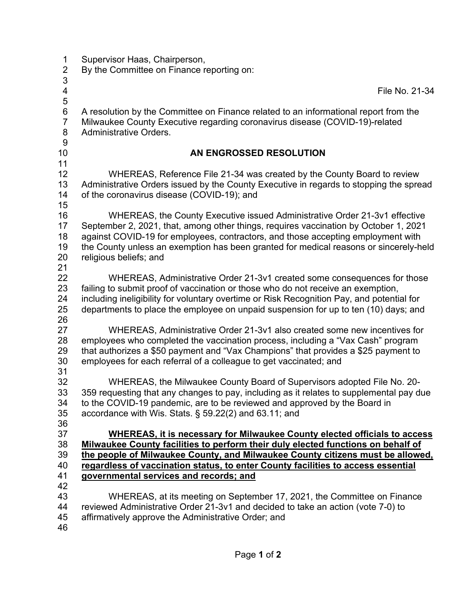| 1                        | Supervisor Haas, Chairperson,                                                             |
|--------------------------|-------------------------------------------------------------------------------------------|
| $\overline{2}$           | By the Committee on Finance reporting on:                                                 |
| 3                        |                                                                                           |
| $\overline{\mathcal{A}}$ | File No. 21-34                                                                            |
| 5                        |                                                                                           |
| $\,6$                    | A resolution by the Committee on Finance related to an informational report from the      |
| $\overline{7}$           | Milwaukee County Executive regarding coronavirus disease (COVID-19)-related               |
| $\,8\,$                  | <b>Administrative Orders.</b>                                                             |
| $\overline{9}$           |                                                                                           |
| 10                       | AN ENGROSSED RESOLUTION                                                                   |
| 11                       |                                                                                           |
| 12                       | WHEREAS, Reference File 21-34 was created by the County Board to review                   |
| 13                       | Administrative Orders issued by the County Executive in regards to stopping the spread    |
| 14                       | of the coronavirus disease (COVID-19); and                                                |
| 15                       |                                                                                           |
| 16                       | WHEREAS, the County Executive issued Administrative Order 21-3v1 effective                |
| 17                       | September 2, 2021, that, among other things, requires vaccination by October 1, 2021      |
| 18                       | against COVID-19 for employees, contractors, and those accepting employment with          |
| 19                       | the County unless an exemption has been granted for medical reasons or sincerely-held     |
| 20                       | religious beliefs; and                                                                    |
| 21                       |                                                                                           |
| 22                       | WHEREAS, Administrative Order 21-3v1 created some consequences for those                  |
| 23                       | failing to submit proof of vaccination or those who do not receive an exemption,          |
| 24                       | including ineligibility for voluntary overtime or Risk Recognition Pay, and potential for |
| 25                       | departments to place the employee on unpaid suspension for up to ten (10) days; and       |
| 26                       |                                                                                           |
| 27                       | WHEREAS, Administrative Order 21-3v1 also created some new incentives for                 |
| 28                       | employees who completed the vaccination process, including a "Vax Cash" program           |
| 29                       | that authorizes a \$50 payment and "Vax Champions" that provides a \$25 payment to        |
| 30                       | employees for each referral of a colleague to get vaccinated; and                         |
| 31                       |                                                                                           |
| 32                       | WHEREAS, the Milwaukee County Board of Supervisors adopted File No. 20-                   |
| 33                       | 359 requesting that any changes to pay, including as it relates to supplemental pay due   |
| 34                       | to the COVID-19 pandemic, are to be reviewed and approved by the Board in                 |
| 35                       | accordance with Wis. Stats. $\S$ 59.22(2) and 63.11; and                                  |
| 36                       |                                                                                           |
| 37                       | <b>WHEREAS, it is necessary for Milwaukee County elected officials to access</b>          |
| 38                       | Milwaukee County facilities to perform their duly elected functions on behalf of          |
| 39                       | the people of Milwaukee County, and Milwaukee County citizens must be allowed,            |
| 40                       | regardless of vaccination status, to enter County facilities to access essential          |
| 41                       | governmental services and records; and                                                    |
| 42                       |                                                                                           |
| 43                       | WHEREAS, at its meeting on September 17, 2021, the Committee on Finance                   |
| 44                       | reviewed Administrative Order 21-3v1 and decided to take an action (vote 7-0) to          |
| 45                       | affirmatively approve the Administrative Order; and                                       |
| 46                       |                                                                                           |